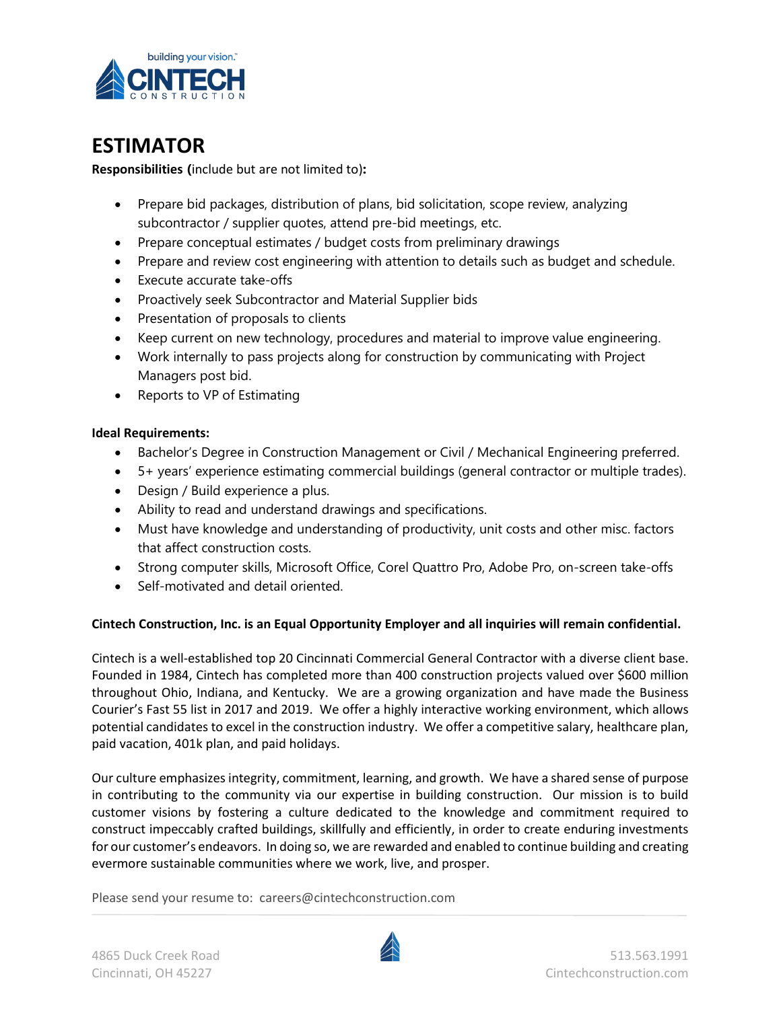

## **ESTIMATOR**

**Responsibilities (**include but are not limited to)**:**

- Prepare bid packages, distribution of plans, bid solicitation, scope review, analyzing subcontractor / supplier quotes, attend pre-bid meetings, etc.
- Prepare conceptual estimates / budget costs from preliminary drawings
- Prepare and review cost engineering with attention to details such as budget and schedule.
- Execute accurate take-offs
- Proactively seek Subcontractor and Material Supplier bids
- Presentation of proposals to clients
- Keep current on new technology, procedures and material to improve value engineering.
- Work internally to pass projects along for construction by communicating with Project Managers post bid.
- Reports to VP of Estimating

## **Ideal Requirements:**

- Bachelor's Degree in Construction Management or Civil / Mechanical Engineering preferred.
- 5+ years' experience estimating commercial buildings (general contractor or multiple trades).
- Design / Build experience a plus.
- Ability to read and understand drawings and specifications.
- Must have knowledge and understanding of productivity, unit costs and other misc. factors that affect construction costs.
- Strong computer skills, Microsoft Office, Corel Quattro Pro, Adobe Pro, on-screen take-offs
- Self-motivated and detail oriented.

## **Cintech Construction, Inc. is an Equal Opportunity Employer and all inquiries will remain confidential.**

Cintech is a well-established top 20 Cincinnati Commercial General Contractor with a diverse client base. Founded in 1984, Cintech has completed more than 400 construction projects valued over \$600 million throughout Ohio, Indiana, and Kentucky. We are a growing organization and have made the Business Courier's Fast 55 list in 2017 and 2019. We offer a highly interactive working environment, which allows potential candidates to excel in the construction industry. We offer a competitive salary, healthcare plan, paid vacation, 401k plan, and paid holidays.

Our culture emphasizes integrity, commitment, learning, and growth. We have a shared sense of purpose in contributing to the community via our expertise in building construction. Our mission is to build customer visions by fostering a culture dedicated to the knowledge and commitment required to construct impeccably crafted buildings, skillfully and efficiently, in order to create enduring investments for our customer's endeavors. In doing so, we are rewarded and enabled to continue building and creating evermore sustainable communities where we work, live, and prosper.

Please send your resume to: careers@cintechconstruction.com